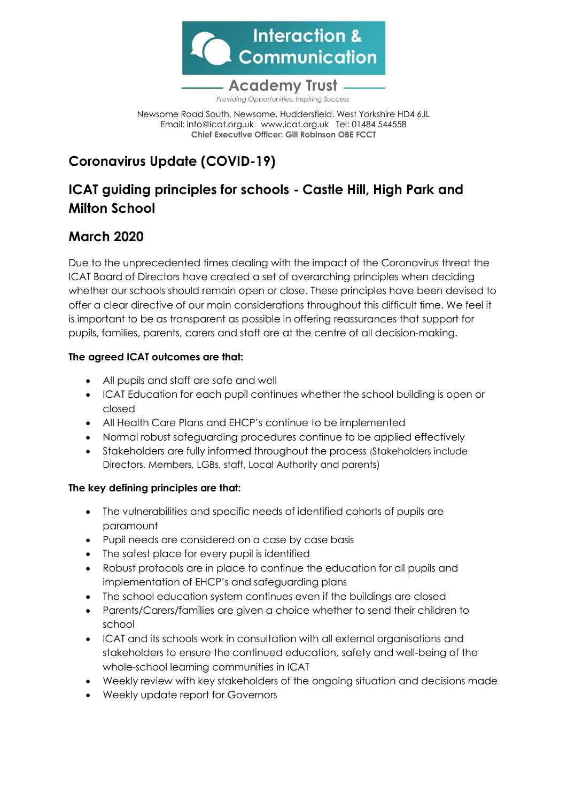

Providing Opportunities, Inspiring Success

Newsome Road South, Newsome, Huddersfield. West Yorkshire HD4 6JL Email: [info@icat.org.uk](mailto:info@icat.org.uk) [www.icat.org.uk](http://www.icat.org.uk/) Tel: 01484 544558 **Chief Executive Officer: Gill Robinson OBE FCCT**

# **Coronavirus Update (COVID-19)**

## **ICAT guiding principles for schools - Castle Hill, High Park and Milton School**

### **March 2020**

Due to the unprecedented times dealing with the impact of the Coronavirus threat the ICAT Board of Directors have created a set of overarching principles when deciding whether our schools should remain open or close. These principles have been devised to offer a clear directive of our main considerations throughout this difficult time. We feel it is important to be as transparent as possible in offering reassurances that support for pupils, families, parents, carers and staff are at the centre of all decision-making.

### **The agreed ICAT outcomes are that:**

- All pupils and staff are safe and well
- ICAT Education for each pupil continues whether the school building is open or closed
- All Health Care Plans and EHCP's continue to be implemented
- Normal robust safeguarding procedures continue to be applied effectively
- Stakeholders are fully informed throughout the process (Stakeholders include Directors, Members, LGBs, staff, Local Authority and parents)

### **The key defining principles are that:**

- The vulnerabilities and specific needs of identified cohorts of pupils are paramount
- Pupil needs are considered on a case by case basis
- The safest place for every pupil is identified
- Robust protocols are in place to continue the education for all pupils and implementation of EHCP's and safeguarding plans
- The school education system continues even if the buildings are closed
- Parents/Carers/families are given a choice whether to send their children to school
- ICAT and its schools work in consultation with all external organisations and stakeholders to ensure the continued education, safety and well-being of the whole-school learning communities in ICAT
- Weekly review with key stakeholders of the ongoing situation and decisions made
- Weekly update report for Governors